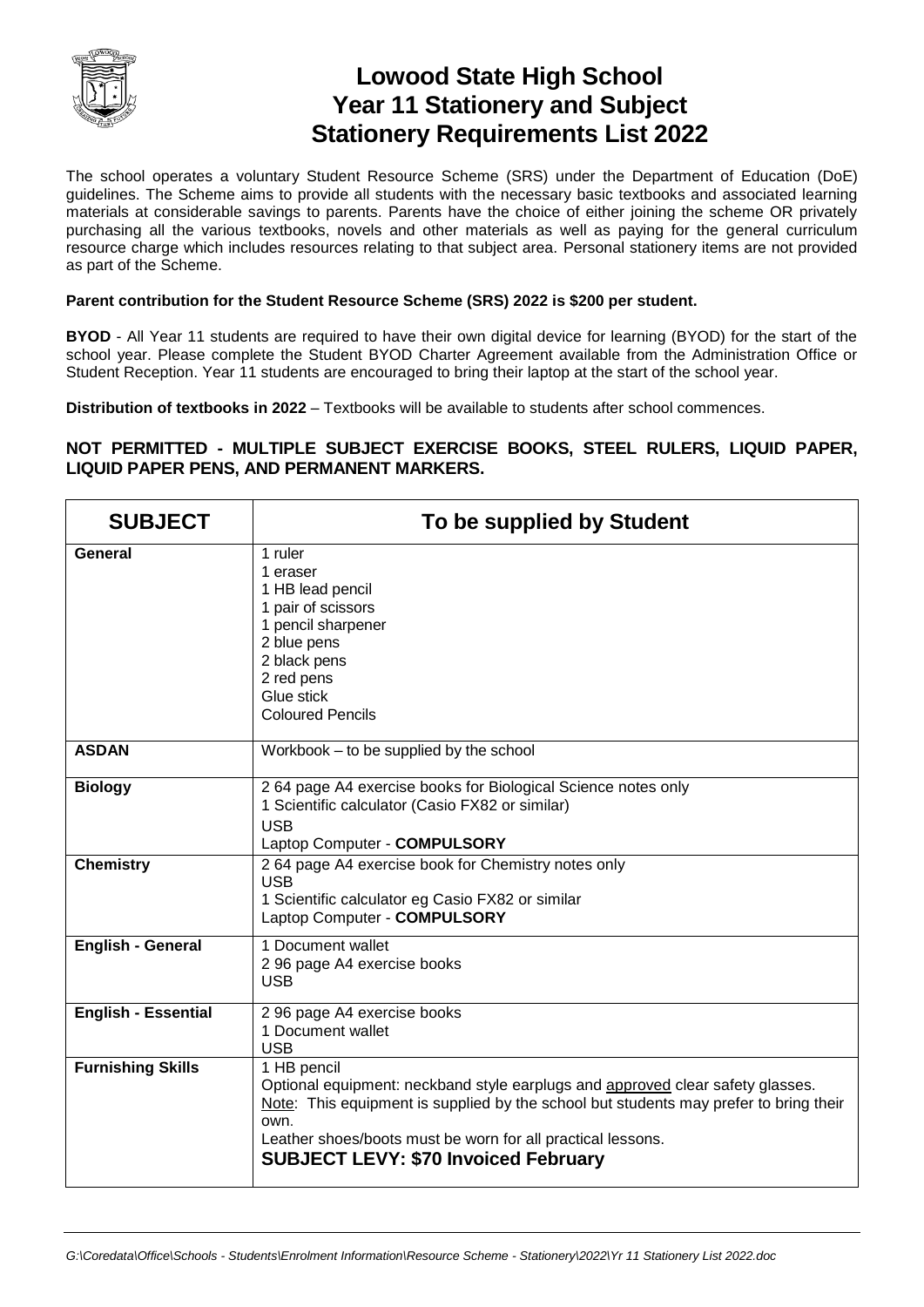

## **Lowood State High School Year 11 Stationery and Subject Stationery Requirements List 2022**

The school operates a voluntary Student Resource Scheme (SRS) under the Department of Education (DoE) guidelines. The Scheme aims to provide all students with the necessary basic textbooks and associated learning materials at considerable savings to parents. Parents have the choice of either joining the scheme OR privately purchasing all the various textbooks, novels and other materials as well as paying for the general curriculum resource charge which includes resources relating to that subject area. Personal stationery items are not provided as part of the Scheme.

## **Parent contribution for the Student Resource Scheme (SRS) 2022 is \$200 per student.**

**BYOD** - All Year 11 students are required to have their own digital device for learning (BYOD) for the start of the school year. Please complete the Student BYOD Charter Agreement available from the Administration Office or Student Reception. Year 11 students are encouraged to bring their laptop at the start of the school year.

**Distribution of textbooks in 2022** – Textbooks will be available to students after school commences.

## **NOT PERMITTED - MULTIPLE SUBJECT EXERCISE BOOKS, STEEL RULERS, LIQUID PAPER, LIQUID PAPER PENS, AND PERMANENT MARKERS.**

| <b>SUBJECT</b>             | To be supplied by Student                                                                                                                                                                                                                                                                                    |
|----------------------------|--------------------------------------------------------------------------------------------------------------------------------------------------------------------------------------------------------------------------------------------------------------------------------------------------------------|
| General                    | 1 ruler<br>1 eraser<br>1 HB lead pencil<br>1 pair of scissors<br>1 pencil sharpener<br>2 blue pens<br>2 black pens<br>2 red pens<br>Glue stick<br><b>Coloured Pencils</b>                                                                                                                                    |
| <b>ASDAN</b>               | Workbook – to be supplied by the school                                                                                                                                                                                                                                                                      |
| <b>Biology</b>             | 264 page A4 exercise books for Biological Science notes only<br>1 Scientific calculator (Casio FX82 or similar)<br><b>USB</b><br>Laptop Computer - COMPULSORY                                                                                                                                                |
| <b>Chemistry</b>           | 2 64 page A4 exercise book for Chemistry notes only<br><b>USB</b><br>1 Scientific calculator eg Casio FX82 or similar<br>Laptop Computer - COMPULSORY                                                                                                                                                        |
| <b>English - General</b>   | 1 Document wallet<br>2 96 page A4 exercise books<br><b>USB</b>                                                                                                                                                                                                                                               |
| <b>English - Essential</b> | 2 96 page A4 exercise books<br>1 Document wallet<br><b>USB</b>                                                                                                                                                                                                                                               |
| <b>Furnishing Skills</b>   | 1 HB pencil<br>Optional equipment: neckband style earplugs and approved clear safety glasses.<br>Note: This equipment is supplied by the school but students may prefer to bring their<br>own.<br>Leather shoes/boots must be worn for all practical lessons.<br><b>SUBJECT LEVY: \$70 Invoiced February</b> |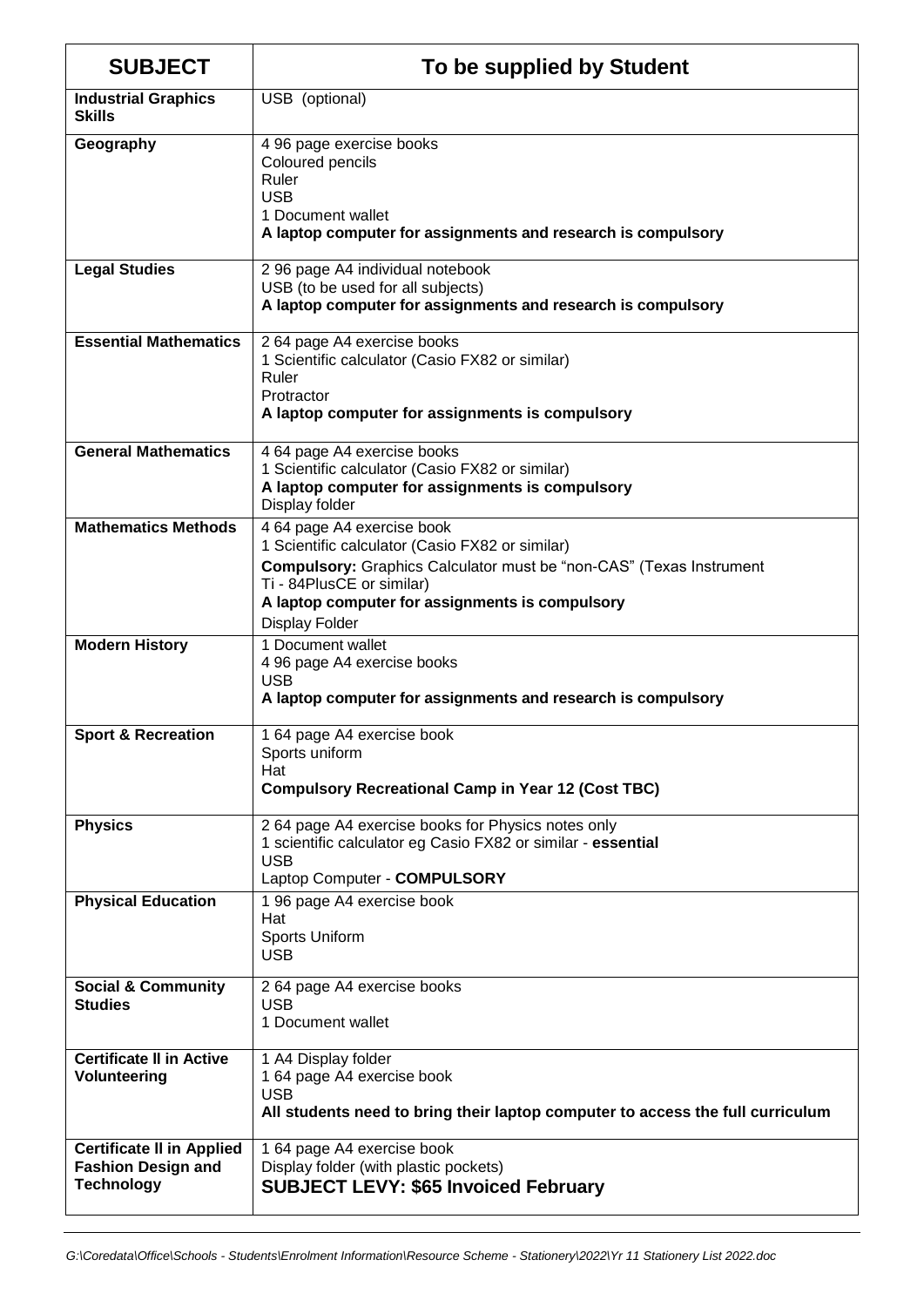| <b>SUBJECT</b>                                                                     | To be supplied by Student                                                                                                                                                                                                                                            |
|------------------------------------------------------------------------------------|----------------------------------------------------------------------------------------------------------------------------------------------------------------------------------------------------------------------------------------------------------------------|
| <b>Industrial Graphics</b><br><b>Skills</b>                                        | USB (optional)                                                                                                                                                                                                                                                       |
| Geography                                                                          | 4 96 page exercise books<br>Coloured pencils<br>Ruler<br><b>USB</b><br>1 Document wallet<br>A laptop computer for assignments and research is compulsory                                                                                                             |
| <b>Legal Studies</b>                                                               | 2 96 page A4 individual notebook<br>USB (to be used for all subjects)<br>A laptop computer for assignments and research is compulsory                                                                                                                                |
| <b>Essential Mathematics</b>                                                       | 2 64 page A4 exercise books<br>1 Scientific calculator (Casio FX82 or similar)<br>Ruler<br>Protractor<br>A laptop computer for assignments is compulsory                                                                                                             |
| <b>General Mathematics</b>                                                         | 4 64 page A4 exercise books<br>1 Scientific calculator (Casio FX82 or similar)<br>A laptop computer for assignments is compulsory<br>Display folder                                                                                                                  |
| <b>Mathematics Methods</b>                                                         | 4 64 page A4 exercise book<br>1 Scientific calculator (Casio FX82 or similar)<br><b>Compulsory:</b> Graphics Calculator must be "non-CAS" (Texas Instrument<br>Ti - 84PlusCE or similar)<br>A laptop computer for assignments is compulsory<br><b>Display Folder</b> |
| <b>Modern History</b>                                                              | 1 Document wallet<br>4 96 page A4 exercise books<br><b>USB</b><br>A laptop computer for assignments and research is compulsory                                                                                                                                       |
| <b>Sport &amp; Recreation</b>                                                      | 1 64 page A4 exercise book<br>Sports uniform<br>Hat<br><b>Compulsory Recreational Camp in Year 12 (Cost TBC)</b>                                                                                                                                                     |
| <b>Physics</b>                                                                     | 2 64 page A4 exercise books for Physics notes only<br>1 scientific calculator eg Casio FX82 or similar - essential<br><b>USB</b><br>Laptop Computer - COMPULSORY                                                                                                     |
| <b>Physical Education</b>                                                          | 1 96 page A4 exercise book<br>Hat<br>Sports Uniform<br><b>USB</b>                                                                                                                                                                                                    |
| <b>Social &amp; Community</b><br><b>Studies</b>                                    | 2 64 page A4 exercise books<br><b>USB</b><br>1 Document wallet                                                                                                                                                                                                       |
| <b>Certificate II in Active</b><br><b>Volunteering</b>                             | 1 A4 Display folder<br>1 64 page A4 exercise book<br><b>USB</b><br>All students need to bring their laptop computer to access the full curriculum                                                                                                                    |
| <b>Certificate II in Applied</b><br><b>Fashion Design and</b><br><b>Technology</b> | 1 64 page A4 exercise book<br>Display folder (with plastic pockets)<br><b>SUBJECT LEVY: \$65 Invoiced February</b>                                                                                                                                                   |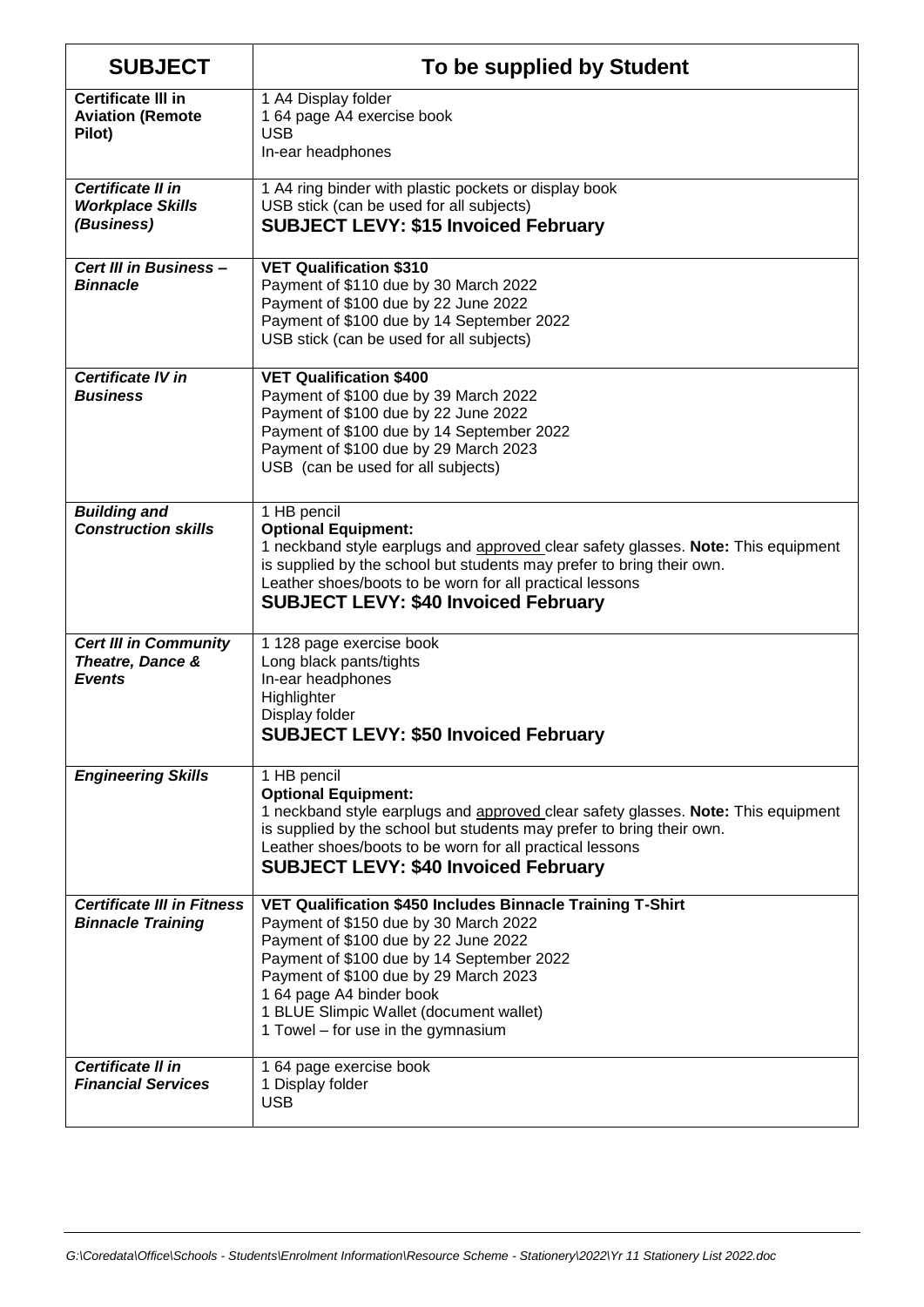| <b>SUBJECT</b>                                                    | To be supplied by Student                                                                                                                                                                                                                                                                                                                      |
|-------------------------------------------------------------------|------------------------------------------------------------------------------------------------------------------------------------------------------------------------------------------------------------------------------------------------------------------------------------------------------------------------------------------------|
| <b>Certificate III in</b><br><b>Aviation (Remote</b><br>Pilot)    | 1 A4 Display folder<br>1 64 page A4 exercise book<br><b>USB</b><br>In-ear headphones                                                                                                                                                                                                                                                           |
| Certificate II in<br><b>Workplace Skills</b><br>(Business)        | 1 A4 ring binder with plastic pockets or display book<br>USB stick (can be used for all subjects)<br><b>SUBJECT LEVY: \$15 Invoiced February</b>                                                                                                                                                                                               |
| Cert III in Business -<br><b>Binnacle</b>                         | <b>VET Qualification \$310</b><br>Payment of \$110 due by 30 March 2022<br>Payment of \$100 due by 22 June 2022<br>Payment of \$100 due by 14 September 2022<br>USB stick (can be used for all subjects)                                                                                                                                       |
| <b>Certificate IV in</b><br><b>Business</b>                       | <b>VET Qualification \$400</b><br>Payment of \$100 due by 39 March 2022<br>Payment of \$100 due by 22 June 2022<br>Payment of \$100 due by 14 September 2022<br>Payment of \$100 due by 29 March 2023<br>USB (can be used for all subjects)                                                                                                    |
| <b>Building and</b><br><b>Construction skills</b>                 | 1 HB pencil<br><b>Optional Equipment:</b><br>1 neckband style earplugs and approved clear safety glasses. Note: This equipment<br>is supplied by the school but students may prefer to bring their own.<br>Leather shoes/boots to be worn for all practical lessons<br><b>SUBJECT LEVY: \$40 Invoiced February</b>                             |
| <b>Cert III in Community</b><br>Theatre, Dance &<br><b>Events</b> | 1 128 page exercise book<br>Long black pants/tights<br>In-ear headphones<br>Highlighter<br>Display folder<br><b>SUBJECT LEVY: \$50 Invoiced February</b>                                                                                                                                                                                       |
| <b>Engineering Skills</b>                                         | 1 HB pencil<br><b>Optional Equipment:</b><br>1 neckband style earplugs and approved clear safety glasses. Note: This equipment<br>is supplied by the school but students may prefer to bring their own.<br>Leather shoes/boots to be worn for all practical lessons<br><b>SUBJECT LEVY: \$40 Invoiced February</b>                             |
| <b>Certificate III in Fitness</b><br><b>Binnacle Training</b>     | VET Qualification \$450 Includes Binnacle Training T-Shirt<br>Payment of \$150 due by 30 March 2022<br>Payment of \$100 due by 22 June 2022<br>Payment of \$100 due by 14 September 2022<br>Payment of \$100 due by 29 March 2023<br>1 64 page A4 binder book<br>1 BLUE Slimpic Wallet (document wallet)<br>1 Towel – for use in the gymnasium |
| Certificate II in<br><b>Financial Services</b>                    | 1 64 page exercise book<br>1 Display folder<br><b>USB</b>                                                                                                                                                                                                                                                                                      |